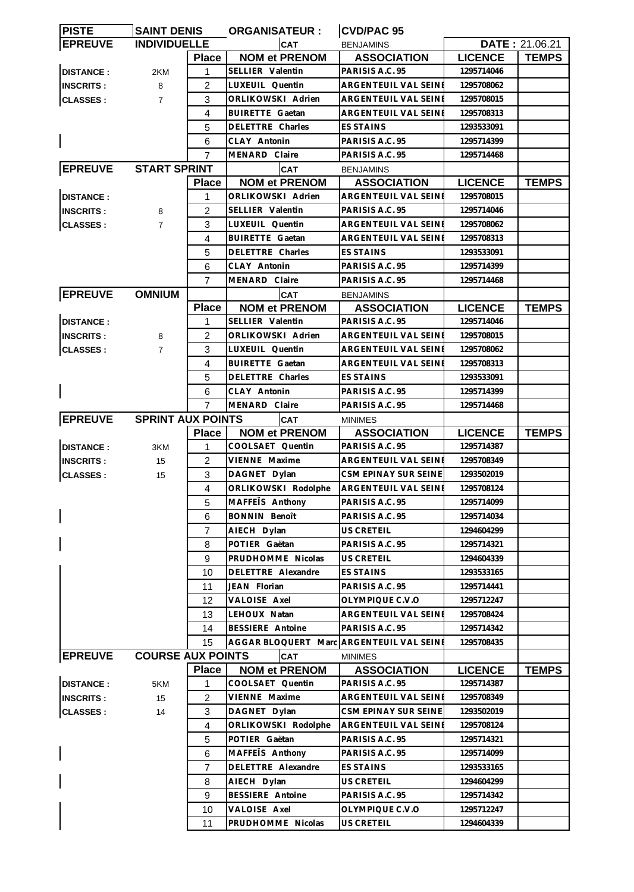| <b>PISTE</b>     | <b>SAINT DENIS</b>       |                | <b>ORGANISATEUR:</b>                     | CVD/PAC 95                  |                |                       |
|------------------|--------------------------|----------------|------------------------------------------|-----------------------------|----------------|-----------------------|
| <b>EPREUVE</b>   | <b>INDIVIDUELLE</b>      |                | <b>CAT</b>                               | <b>BENJAMINS</b>            |                | <b>DATE: 21.06.21</b> |
|                  |                          | <b>Place</b>   | <b>NOM et PRENOM</b>                     | <b>ASSOCIATION</b>          | <b>LICENCE</b> | <b>TEMPS</b>          |
| <b>DISTANCE:</b> | 2KM                      | 1              | SELLIER Valentin                         | PARISIS A.C. 95             | 1295714046     |                       |
| <b>INSCRITS:</b> | 8                        | 2              | LUXEUIL Quentin                          | ARGENTEUIL VAL SEINE        | 1295708062     |                       |
| <b>CLASSES:</b>  | $\overline{7}$           | 3              | ORLIKOWSKI Adrien                        | ARGENTEUIL VAL SEINE        | 1295708015     |                       |
|                  |                          | 4              | <b>BUIRETTE Gaetan</b>                   | ARGENTEUIL VAL SEINE        | 1295708313     |                       |
|                  |                          | 5              | DELETTRE Charles                         | <b>ES STAINS</b>            | 1293533091     |                       |
|                  |                          | 6              | CLAY Antonin                             | PARISIS A.C. 95             | 1295714399     |                       |
|                  |                          | 7              | MENARD Claire                            | PARISIS A.C. 95             | 1295714468     |                       |
| <b>EPREUVE</b>   | <b>START SPRINT</b>      |                | <b>CAT</b>                               | <b>BENJAMINS</b>            |                |                       |
|                  |                          | <b>Place</b>   | <b>NOM et PRENOM</b>                     | <b>ASSOCIATION</b>          | <b>LICENCE</b> | <b>TEMPS</b>          |
| <b>DISTANCE:</b> |                          | 1              | ORLIKOWSKI Adrien                        | ARGENTEUIL VAL SEINE        | 1295708015     |                       |
|                  |                          | 2              | SELLIER Valentin                         | PARISIS A.C. 95             | 1295714046     |                       |
| <b>INSCRITS:</b> | 8                        |                |                                          |                             |                |                       |
| <b>CLASSES:</b>  | $\overline{7}$           | 3              | LUXEUIL Quentin                          | ARGENTEUIL VAL SEINE        | 1295708062     |                       |
|                  |                          | 4              | <b>BUIRETTE Gaetan</b>                   | ARGENTEUIL VAL SEINI        | 1295708313     |                       |
|                  |                          | 5              | DELETTRE Charles                         | <b>ES STAINS</b>            | 1293533091     |                       |
|                  |                          | 6              | CLAY Antonin                             | PARISIS A.C. 95             | 1295714399     |                       |
|                  |                          | 7              | MENARD Claire                            | PARISIS A.C. 95             | 1295714468     |                       |
| <b>EPREUVE</b>   | <b>OMNIUM</b>            |                | <b>CAT</b>                               | <b>BENJAMINS</b>            |                |                       |
|                  |                          | <b>Place</b>   | <b>NOM et PRENOM</b>                     | <b>ASSOCIATION</b>          | <b>LICENCE</b> | <b>TEMPS</b>          |
| <b>DISTANCE:</b> |                          | 1              | SELLIER Valentin                         | PARISIS A.C. 95             | 1295714046     |                       |
| <b>INSCRITS:</b> | 8                        | 2              | ORLIKOWSKI Adrien                        | ARGENTEUIL VAL SEINE        | 1295708015     |                       |
| <b>CLASSES:</b>  | $\overline{7}$           | 3              | LUXEUIL Quentin                          | ARGENTEUIL VAL SEINE        | 1295708062     |                       |
|                  |                          | 4              | <b>BUIRETTE Gaetan</b>                   | ARGENTEUIL VAL SEINI        | 1295708313     |                       |
|                  |                          | 5              | DELETTRE Charles                         | ES STAINS                   | 1293533091     |                       |
|                  |                          | 6              | CLAY Antonin                             | PARISIS A.C. 95             | 1295714399     |                       |
|                  |                          | $\overline{7}$ | MENARD Claire                            | PARISIS A.C. 95             | 1295714468     |                       |
| <b>EPREUVE</b>   | <b>SPRINT AUX POINTS</b> |                | <b>CAT</b>                               | <b>MINIMES</b>              |                |                       |
|                  |                          | <b>Place</b>   | <b>NOM et PRENOM</b>                     | <b>ASSOCIATION</b>          | <b>LICENCE</b> | <b>TEMPS</b>          |
| <b>DISTANCE:</b> | 3KM                      | 1              | COOLSAET Quentin                         | PARISIS A.C. 95             | 1295714387     |                       |
| <b>INSCRITS:</b> | 15                       | 2              | VIENNE Maxime                            | ARGENTEUIL VAL SEINI        | 1295708349     |                       |
| <b>CLASSES:</b>  | 15                       | 3              | DAGNET Dylan                             | CSM EPINAY SUR SEINE        | 1293502019     |                       |
|                  |                          | $\overline{4}$ | ORLIKOWSKI Rodolphe                      | <b>ARGENTEUIL VAL SEINE</b> | 1295708124     |                       |
|                  |                          | 5              | MAFFEIS Anthony                          | PARISIS A.C. 95             | 1295714099     |                       |
|                  |                          | 6              | <b>BONNIN Benoît</b>                     | PARISIS A.C. 95             | 1295714034     |                       |
|                  |                          | 7              | AIECH Dylan                              | US CRETEIL                  | 1294604299     |                       |
|                  |                          | 8              | POTIER Gaëtan                            | PARISIS A.C. 95             | 1295714321     |                       |
|                  |                          | 9              | PRUDHOMME Nicolas                        | US CRETEIL                  | 1294604339     |                       |
|                  |                          | 10             | DELETTRE Alexandre                       | ES STAINS                   | 1293533165     |                       |
|                  |                          | 11             | JEAN Florian                             | PARISIS A.C. 95             | 1295714441     |                       |
|                  |                          | 12             | VALOISE Axel                             | OLYMPIQUE C.V.O             | 1295712247     |                       |
|                  |                          | 13             | LEHOUX Natan                             | ARGENTEUIL VAL SEINE        | 1295708424     |                       |
|                  |                          | 14             | BESSIERE Antoine                         | PARISIS A.C. 95             | 1295714342     |                       |
|                  |                          | 15             | AGGAR BLOQUERT Marc ARGENTEUIL VAL SEINE |                             | 1295708435     |                       |
| <b>EPREUVE</b>   | <b>COURSE AUX POINTS</b> |                | <b>CAT</b>                               | <b>MINIMES</b>              |                |                       |
|                  |                          | <b>Place</b>   | <b>NOM et PRENOM</b>                     | <b>ASSOCIATION</b>          | <b>LICENCE</b> | <b>TEMPS</b>          |
| <b>DISTANCE:</b> | 5KM                      | 1              | COOLSAET Quentin                         | PARISIS A.C. 95             | 1295714387     |                       |
| <b>INSCRITS:</b> | 15                       | $\overline{c}$ | VIENNE Maxime                            | ARGENTEUIL VAL SEINE        | 1295708349     |                       |
| <b>CLASSES:</b>  | 14                       | 3              | DAGNET Dylan                             | CSM EPINAY SUR SEINE        | 1293502019     |                       |
|                  |                          | $\overline{4}$ | ORLIKOWSKI Rodolphe                      | ARGENTEUIL VAL SEINE        | 1295708124     |                       |
|                  |                          | 5              | POTIER Gaëtan                            | PARISIS A.C. 95             | 1295714321     |                       |
|                  |                          | 6              | MAFFETS Anthony                          | PARISIS A.C. 95             | 1295714099     |                       |
|                  |                          |                |                                          |                             |                |                       |
|                  |                          | $\overline{7}$ | DELETTRE Alexandre                       | ES STAINS                   | 1293533165     |                       |
|                  |                          | 8              | AIECH Dylan                              | US CRETEIL                  | 1294604299     |                       |
|                  |                          | 9              | BESSIERE Antoine                         | PARISIS A.C. 95             | 1295714342     |                       |
|                  |                          | 10             | VALOISE Axel                             | OLYMPIQUE C.V.O             | 1295712247     |                       |
|                  |                          | 11             | PRUDHOMME Nicolas                        | US CRETEIL                  | 1294604339     |                       |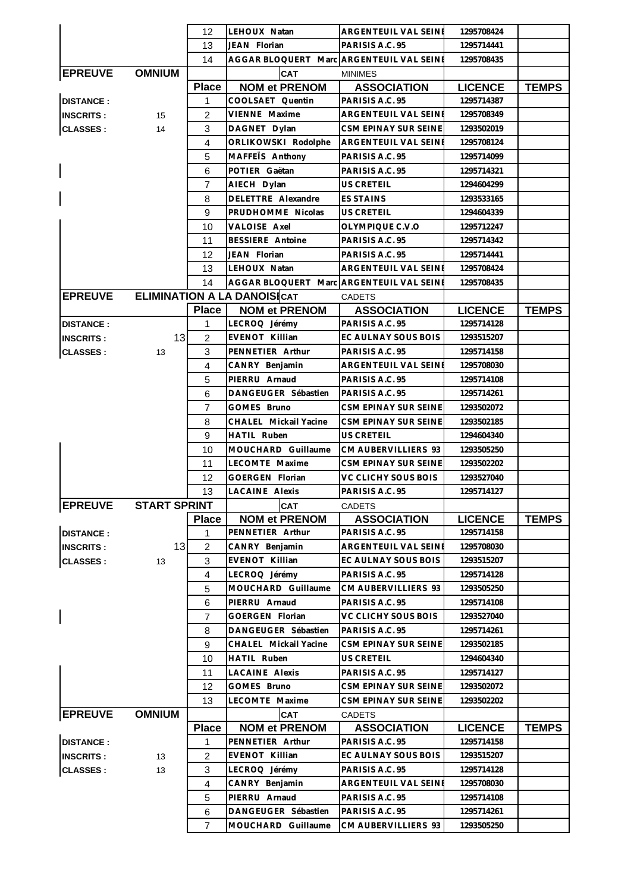|                  |                     | 12             | LEHOUX Natan                             | ARGENTEUIL VAL SEINE                | 1295708424               |              |
|------------------|---------------------|----------------|------------------------------------------|-------------------------------------|--------------------------|--------------|
|                  |                     | 13             | JEAN Florian                             | PARISIS A.C. 95                     | 1295714441               |              |
|                  |                     | 14             | AGGAR BLOQUERT Marc ARGENTEUIL VAL SEINE |                                     | 1295708435               |              |
| <b>EPREUVE</b>   | <b>OMNIUM</b>       |                | <b>CAT</b>                               | <b>MINIMES</b>                      |                          |              |
|                  |                     | <b>Place</b>   | <b>NOM et PRENOM</b>                     | <b>ASSOCIATION</b>                  | <b>LICENCE</b>           | <b>TEMPS</b> |
| <b>DISTANCE:</b> |                     | 1              | COOLSAET Quentin                         | PARISIS A.C. 95                     | 1295714387               |              |
| <b>INSCRITS:</b> | 15                  | 2              | VIENNE Maxime                            | ARGENTEUIL VAL SEINE                | 1295708349               |              |
| <b>CLASSES:</b>  | 14                  | 3              | DAGNET Dylan                             | CSM EPINAY SUR SEINE                | 1293502019               |              |
|                  |                     | $\overline{4}$ | ORLIKOWSKI Rodolphe                      | ARGENTEUIL VAL SEINE                | 1295708124               |              |
|                  |                     | 5              | MAFFETS Anthony                          | PARISIS A.C. 95                     | 1295714099               |              |
|                  |                     | 6              | POTIER Gaëtan                            | PARISIS A.C. 95                     | 1295714321               |              |
|                  |                     | $\overline{7}$ | AIECH Dylan                              | US CRETEIL                          | 1294604299               |              |
|                  |                     | 8              | DELETTRE Alexandre                       | <b>ES STAINS</b>                    | 1293533165               |              |
|                  |                     | 9              | PRUDHOMME Nicolas                        | US CRETEIL                          | 1294604339               |              |
|                  |                     | 10             | VALOISE Axel                             | OLYMPIQUE C.V.O                     | 1295712247               |              |
|                  |                     | 11             | <b>BESSIERE</b> Antoine                  | PARISIS A.C. 95                     | 1295714342               |              |
|                  |                     | 12             | JEAN Florian                             | PARISIS A.C. 95                     | 1295714441               |              |
|                  |                     | 13             | LEHOUX Natan                             | ARGENTEUIL VAL SEINE                | 1295708424               |              |
|                  |                     | 14             | AGGAR BLOQUERT Marc ARGENTEUIL VAL SEINE |                                     | 1295708435               |              |
| <b>EPREUVE</b>   |                     |                | <b>ELIMINATION A LA DANOISICAT</b>       | <b>CADETS</b>                       |                          |              |
|                  |                     | <b>Place</b>   | <b>NOM et PRENOM</b>                     | <b>ASSOCIATION</b>                  | <b>LICENCE</b>           | <b>TEMPS</b> |
| <b>DISTANCE:</b> |                     | 1              | LECROQ Jérémy                            | PARISIS A.C. 95                     | 1295714128               |              |
| <b>INSCRITS:</b> | 13                  | $\overline{c}$ | EVENOT Killian                           | EC AULNAY SOUS BOIS                 | 1293515207               |              |
| <b>CLASSES:</b>  | 13                  | 3              | PENNETIER Arthur                         | PARISIS A.C. 95                     | 1295714158               |              |
|                  |                     | $\overline{4}$ | CANRY Benjamin                           | ARGENTEUIL VAL SEINE                | 1295708030               |              |
|                  |                     | 5              | PIERRU Arnaud                            | PARISIS A.C. 95                     | 1295714108               |              |
|                  |                     | 6              | DANGEUGER Sébastien                      | PARISIS A.C. 95                     | 1295714261               |              |
|                  |                     | $\overline{7}$ | GOMES Bruno                              | CSM EPINAY SUR SEINE                | 1293502072               |              |
|                  |                     | 8              | CHALEL Mickail Yacine                    | CSM EPINAY SUR SEINE                | 1293502185               |              |
|                  |                     | 9              | <b>HATIL Ruben</b>                       | US CRETEIL                          | 1294604340               |              |
|                  |                     | 10             | MOUCHARD Guillaume                       | CM AUBERVILLIERS 93                 | 1293505250               |              |
|                  |                     | 11             | LECOMTE Maxime                           | CSM EPINAY SUR SEINE                | 1293502202               |              |
|                  |                     | 12             | GOERGEN Florian                          | VC CLICHY SOUS BOIS                 | 1293527040               |              |
|                  |                     | 13             | <b>LACAINE Alexis</b>                    | PARISIS A.C. 95                     | 1295714127               |              |
| <b>EPREUVE</b>   | <b>START SPRINT</b> |                | <b>CAT</b>                               | CADETS                              |                          |              |
|                  |                     | <b>Place</b>   | <b>NOM et PRENOM</b>                     | <b>ASSOCIATION</b>                  | <b>LICENCE</b>           | <b>TEMPS</b> |
| <b>DISTANCE:</b> |                     | 1              | PENNETIER Arthur                         | PARISIS A.C. 95                     | 1295714158               |              |
| <b>INSCRITS:</b> | 13                  | 2              | CANRY Benjamin                           | ARGENTEUIL VAL SEINE                | 1295708030               |              |
| <b>CLASSES:</b>  | 13                  | 3              | EVENOT Killian                           | EC AULNAY SOUS BOIS                 | 1293515207               |              |
|                  |                     | $\overline{4}$ | LECROQ Jérémy                            | PARISIS A.C. 95                     | 1295714128               |              |
|                  |                     | 5              | MOUCHARD Guillaume                       | CM AUBERVILLIERS 93                 | 1293505250               |              |
|                  |                     | 6              | PIERRU Arnaud                            | PARISIS A.C. 95                     | 1295714108               |              |
| $\mathsf{l}$     |                     | 7              | GOERGEN Florian                          | VC CLICHY SOUS BOIS                 | 1293527040               |              |
|                  |                     | 8              | DANGEUGER Sébastien                      | PARISIS A.C. 95                     | 1295714261               |              |
|                  |                     | 9              | CHALEL Mickail Yacine                    | CSM EPINAY SUR SEINE                | 1293502185               |              |
|                  |                     | 10             | HATIL Ruben<br>LACAINE Alexis            | US CRETEIL<br>PARISIS A.C. 95       | 1294604340<br>1295714127 |              |
|                  |                     | 11             | GOMES Bruno                              | CSM EPINAY SUR SEINE                |                          |              |
|                  |                     | 12             | LECOMTE Maxime                           |                                     | 1293502072               |              |
|                  |                     | 13             |                                          | CSM EPINAY SUR SEINE                | 1293502202               |              |
| <b>EPREUVE</b>   | <b>OMNIUM</b>       | <b>Place</b>   | CAT<br><b>NOM et PRENOM</b>              | <b>CADETS</b><br><b>ASSOCIATION</b> | <b>LICENCE</b>           | <b>TEMPS</b> |
| <b>DISTANCE:</b> |                     | $\mathbf{1}$   | PENNETIER Arthur                         | PARISIS A.C. 95                     | 1295714158               |              |
| <b>INSCRITS:</b> | 13                  | 2              | EVENOT Killian                           | EC AULNAY SOUS BOIS                 | 1293515207               |              |
| <b>CLASSES:</b>  | 13                  | 3              | LECROQ Jérémy                            | PARISIS A.C. 95                     | 1295714128               |              |
|                  |                     | $\overline{4}$ | CANRY Benjamin                           | ARGENTEUIL VAL SEINE                | 1295708030               |              |
|                  |                     | 5              | PIERRU Arnaud                            | PARISIS A.C. 95                     | 1295714108               |              |
|                  |                     | 6              | DANGEUGER Sébastien                      | PARISIS A.C. 95                     | 1295714261               |              |
|                  |                     | $\overline{7}$ | MOUCHARD Guillaume                       | CM AUBERVILLIERS 93                 | 1293505250               |              |
|                  |                     |                |                                          |                                     |                          |              |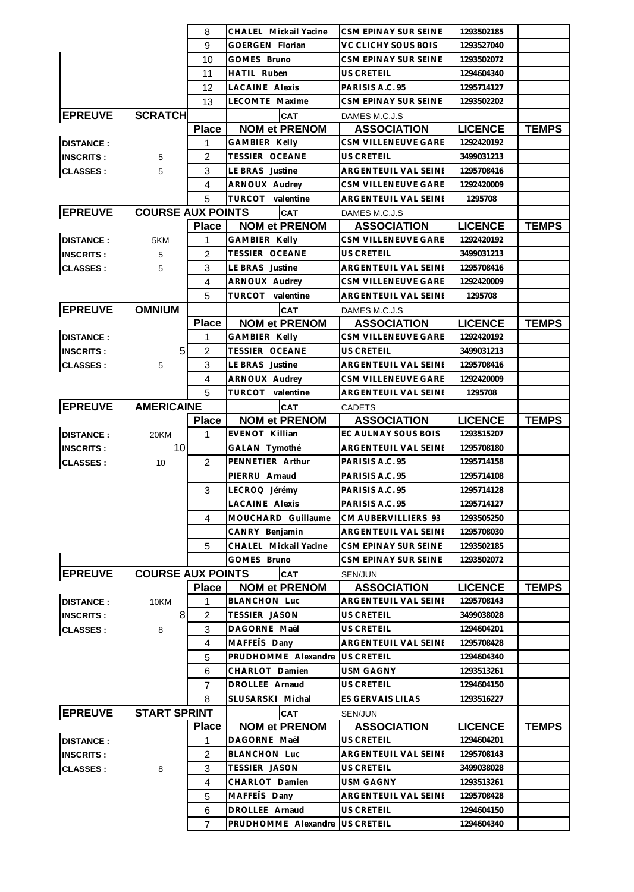| 8<br>CHALEL Mickail Yacine<br>CSM EPINAY SUR SEINE                                                  | 1293502185               |              |
|-----------------------------------------------------------------------------------------------------|--------------------------|--------------|
| 9<br>VC CLICHY SOUS BOIS<br><b>GOERGEN Florian</b>                                                  | 1293527040               |              |
| CSM EPINAY SUR SEINE<br>10<br>GOMES Bruno                                                           | 1293502072               |              |
| 11<br>HATIL Ruben<br>US CRETEIL                                                                     | 1294604340               |              |
| <b>LACAINE Alexis</b><br>PARISIS A.C. 95<br>12                                                      | 1295714127               |              |
| LECOMTE Maxime<br>CSM EPINAY SUR SEINE<br>13                                                        | 1293502202               |              |
| <b>EPREUVE</b><br><b>SCRATCH</b><br><b>CAT</b><br>DAMES M.C.J.S                                     |                          |              |
| <b>Place</b><br><b>NOM et PRENOM</b><br><b>ASSOCIATION</b>                                          | <b>LICENCE</b>           | <b>TEMPS</b> |
| <b>DISTANCE:</b><br><b>GAMBIER Kelly</b><br>CSM VILLENEUVE GARE<br>1                                | 1292420192               |              |
| <b>TESSIER OCEANE</b><br>2<br><b>US CRETEIL</b><br><b>INSCRITS:</b><br>5                            | 3499031213               |              |
| 3<br>LE BRAS Justine<br>ARGENTEUIL VAL SEINE<br><b>CLASSES:</b><br>5                                | 1295708416               |              |
| CSM VILLENEUVE GARE<br>4<br>ARNOUX Audrey                                                           | 1292420009               |              |
| 5<br>TURCOT valentine<br>ARGENTEUIL VAL SEINI                                                       | 1295708                  |              |
| <b>EPREUVE</b><br><b>COURSE AUX POINTS</b><br><b>CAT</b><br>DAMES M.C.J.S                           |                          |              |
| <b>NOM et PRENOM</b><br><b>Place</b><br><b>ASSOCIATION</b>                                          | <b>LICENCE</b>           | <b>TEMPS</b> |
| <b>DISTANCE:</b><br>GAMBIER Kelly<br>CSM VILLENEUVE GARE<br>1<br>5KM                                | 1292420192               |              |
| $\overline{2}$<br><b>TESSIER OCEANE</b><br>US CRETEIL<br><b>INSCRITS:</b><br>5                      | 3499031213               |              |
| LE BRAS Justine<br>3<br>ARGENTEUIL VAL SEINE<br><b>CLASSES:</b><br>5                                | 1295708416               |              |
| CSM VILLENEUVE GARE<br>4<br><b>ARNOUX Audrey</b>                                                    | 1292420009               |              |
| 5<br>TURCOT valentine<br>ARGENTEUIL VAL SEINE                                                       | 1295708                  |              |
| <b>EPREUVE</b><br><b>OMNIUM</b><br><b>CAT</b><br>DAMES M.C.J.S                                      |                          |              |
| <b>Place</b><br><b>NOM et PRENOM</b><br><b>ASSOCIATION</b>                                          | <b>LICENCE</b>           | <b>TEMPS</b> |
| <b>DISTANCE:</b><br>1<br>GAMBIER Kelly<br>CSM VILLENEUVE GARE                                       | 1292420192               |              |
| 5 <sub>5</sub><br>$\overline{2}$<br><b>TESSIER OCEANE</b><br>US CRETEIL<br><b>INSCRITS:</b>         | 3499031213               |              |
| <b>CLASSES:</b><br>3<br>LE BRAS Justine<br>ARGENTEUIL VAL SEINE<br>5                                | 1295708416               |              |
| 4<br>ARNOUX Audrey<br>CSM VILLENEUVE GARE                                                           | 1292420009               |              |
| 5<br>TURCOT valentine<br>ARGENTEUIL VAL SEINE                                                       | 1295708                  |              |
| <b>EPREUVE</b><br><b>AMERICAINE</b><br>CAT<br><b>CADETS</b>                                         |                          |              |
|                                                                                                     |                          |              |
| <b>NOM et PRENOM</b><br><b>ASSOCIATION</b><br><b>Place</b>                                          | <b>LICENCE</b>           | <b>TEMPS</b> |
| EVENOT Killian<br><b>DISTANCE:</b><br>EC AULNAY SOUS BOIS<br>20KM<br>1                              | 1293515207               |              |
| 10<br><b>INSCRITS:</b><br>GALAN Tymothé<br>ARGENTEUIL VAL SEINE                                     | 1295708180               |              |
| PENNETIER Arthur<br>PARISIS A.C. 95<br><b>CLASSES:</b><br>2<br>10                                   | 1295714158               |              |
| PIERRU Arnaud<br>PARISIS A.C. 95                                                                    | 1295714108               |              |
| 3<br>LECROQ Jérémy<br>PARISIS A.C. 95                                                               | 1295714128               |              |
| LACAINE Alexis<br>PARISIS A.C. 95                                                                   | 1295714127               |              |
| MOUCHARD Guillaume<br>CM AUBERVILLIERS 93<br>4                                                      | 1293505250               |              |
| CANRY Benjamin<br>ARGENTEUIL VAL SEINE                                                              | 1295708030               |              |
| 5<br>CHALEL Mickail Yacine<br>CSM EPINAY SUR SEINE                                                  | 1293502185               |              |
| GOMES Bruno<br>CSM EPINAY SUR SEINE                                                                 | 1293502072               |              |
| <b>EPREUVE</b><br><b>COURSE AUX POINTS</b><br>CAT<br>SEN/JUN                                        |                          |              |
| <b>Place</b><br><b>NOM et PRENOM</b><br><b>ASSOCIATION</b>                                          | <b>LICENCE</b>           | <b>TEMPS</b> |
| <b>DISTANCE:</b><br><b>BLANCHON Luc</b><br>ARGENTEUIL VAL SEINE<br>10KM<br>1                        | 1295708143<br>3499038028 |              |
| 8<br>TESSIER JASON<br>$\overline{c}$<br>US CRETEIL<br><b>INSCRITS:</b>                              |                          |              |
| 3<br><b>CLASSES:</b><br>DAGORNE Maël<br>US CRETEIL<br>8                                             | 1294604201               |              |
| MAFFETS Dany<br>ARGENTEUIL VAL SEINI<br>4                                                           | 1295708428               |              |
| PRUDHOMME Alexandre<br>US CRETEIL<br>5<br>6<br>CHARLOT Damien<br><b>USM GAGNY</b>                   | 1294604340<br>1293513261 |              |
| DROLLEE Arnaud<br>US CRETEIL<br>$\overline{7}$                                                      | 1294604150               |              |
| 8<br>SLUSARSKI Michal<br>ES GERVAIS LILAS                                                           | 1293516227               |              |
| <b>CAT</b><br>SEN/JUN                                                                               |                          |              |
| <b>EPREUVE</b><br><b>START SPRINT</b><br><b>NOM et PRENOM</b><br><b>ASSOCIATION</b><br><b>Place</b> | <b>LICENCE</b>           | <b>TEMPS</b> |
| <b>DISTANCE:</b><br>DAGORNE Maël<br>US CRETEIL<br>1                                                 | 1294604201               |              |
| 2<br><b>BLANCHON Luc</b><br>ARGENTEUIL VAL SEINE<br><b>INSCRITS:</b>                                | 1295708143               |              |
| TESSIER JASON<br><b>CLASSES:</b><br>3<br>US CRETEIL<br>8                                            | 3499038028               |              |
| CHARLOT Damien<br><b>USM GAGNY</b><br>4                                                             | 1293513261               |              |
| 5<br>MAFFETS Dany<br>ARGENTEUIL VAL SEINE                                                           | 1295708428               |              |
| DROLLEE Arnaud<br>US CRETEIL<br>6                                                                   | 1294604150               |              |